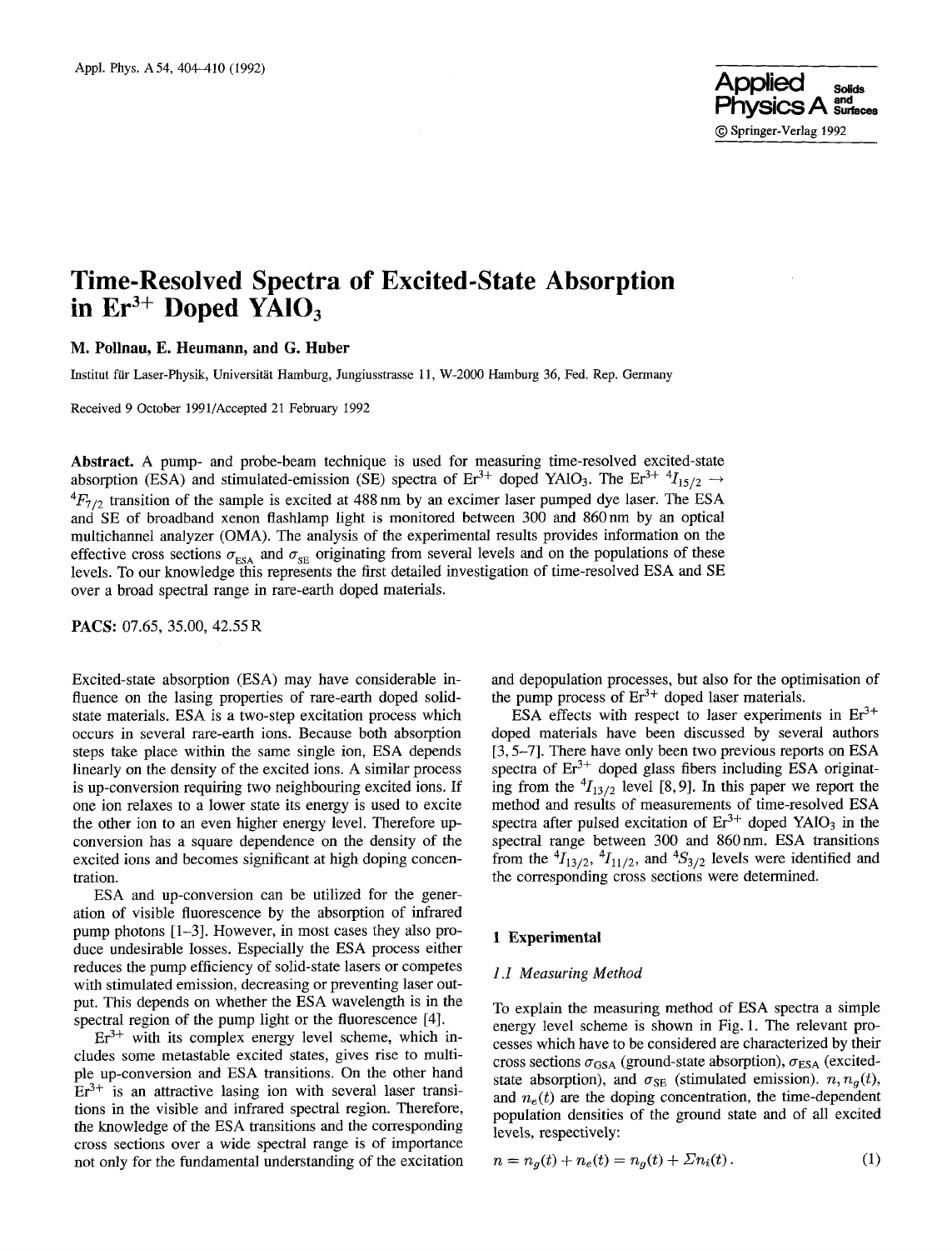# **Time-Resolved Spectra of Excited-State Absorption**  in Er<sup>3+</sup> Doped YAIO<sub>3</sub>

**M. Pollnau, E. Heumann, and G. Huber** 

Institut far Laser-Physik, Universitat Hamburg, Jungiusstrasse 11, W-2000 Hamburg 36, Fed. Rep. Germany

Received 9 October 1991/Accepted 21 February 1992

**Abstract.** A pump- and probe-beam technique is used for measuring time-resolved excited-state absorption (ESA) and stimulated-emission (SE) spectra of Er<sup>3+</sup> doped YAlO<sub>3</sub>. The Er<sup>3+ 4</sup> $I_{15/2}$   $\rightarrow$  ${}^{4}F_{7/2}$  transition of the sample is excited at 488 nm by an excimer laser pumped dye laser. The ESA and SE of broadband xenon ftashlamp light is monitored between 300 and 860 nm by an optical multichannel analyzer (OMA). The analysis of the experimental results provides information on the effective cross sections  $\sigma_{ESA}$  and  $\sigma_{SE}$  originating from several levels and on the populations of these levels. To our knowledge this represents the first detailed investigation of time-resolved ESA and SE over a broad spectral range in rare-earth doped materials.

PACS: 07.65, 35.00, 42.55 R

Excited-state absorption (ESA) may have considerable influence on the lasing properties of rare-earth doped solidstate materials. ESA is a two-step excitation process which occurs in several rare-earth ions. Because both absorption steps take place within the same single ion, ESA depends linearly on the density of the excited ions. A similar process is up-conversion requiring two neighbouring excited ions. If one ion relaxes to a lower state its energy is used to excite the other ion to an even higher energy level. Therefore upconversion has a square dependence on the density of the excited ions and becomes significant at high doping concentration.

ESA and up-conversion can be utilized for the generation of visible fluorescence by the absorption of infrared pump photons [1-3]. However, in most cases they also produce undesirable losses. Especially the ESA process either reduces the pump efficiency of solid-state lasers or competes with stimulated emission, decreasing or preventing laser output. This depends on whether the ESA wavelength is in the spectral region of the pump light or the fluorescence [4].

 $Er<sup>3+</sup>$  with its complex energy level scheme, which includes some metastable excited states, gives rise to multiple up-conversion and ESA transitions. On the other hand  $Er<sup>3+</sup>$  is an attractive lasing ion with several laser transitions in the visible and infrared spectral region. Therefore, the knowledge of the ESA transitions and the corresponding cross sections over a wide spectral range is of importance not only for the fundamental understanding of the excitation

and depopulation processes, but also for the optimisation of the pump process of  $Er^{3+}$  doped laser materials.

ESA effects with respect to laser experiments in  $Er^{3+}$ doped materials have been discussed by several authors [3, 5-7]. There have only been two previous reports on ESA spectra of  $Er^{3+}$  doped glass fibers including ESA originating from the  $^{4}I_{13/2}$  level [8, 9]. In this paper we report the method and results of measurements of time-resolved ESA spectra after pulsed excitation of  $Er^{3+}$  doped YAIO<sub>3</sub> in the spectral range between 300 and 860nm. ESA transitions from the  $^{4}I_{13/2}$ ,  $^{4}I_{11/2}$ , and  $^{4}S_{3/2}$  levels were identified and the corresponding cross sections were determined.

### **1 Experimental**

# *1.i Measuring Method*

To explain the measuring method of ESA spectra a simple energy level scheme is shown in Fig. 1. The relevant processes which have to be considered are characterized by their cross sections  $\sigma_{\text{GSA}}$  (ground-state absorption),  $\sigma_{\text{ESA}}$  (excitedstate absorption), and  $\sigma_{SE}$  (stimulated emission).  $n, n_q(t)$ , and  $n_e(t)$  are the doping concentration, the time-dependent population densities of the ground state and of all excited levels, respectively:

$$
n = n_g(t) + n_e(t) = n_g(t) + \Sigma n_i(t).
$$
 (1)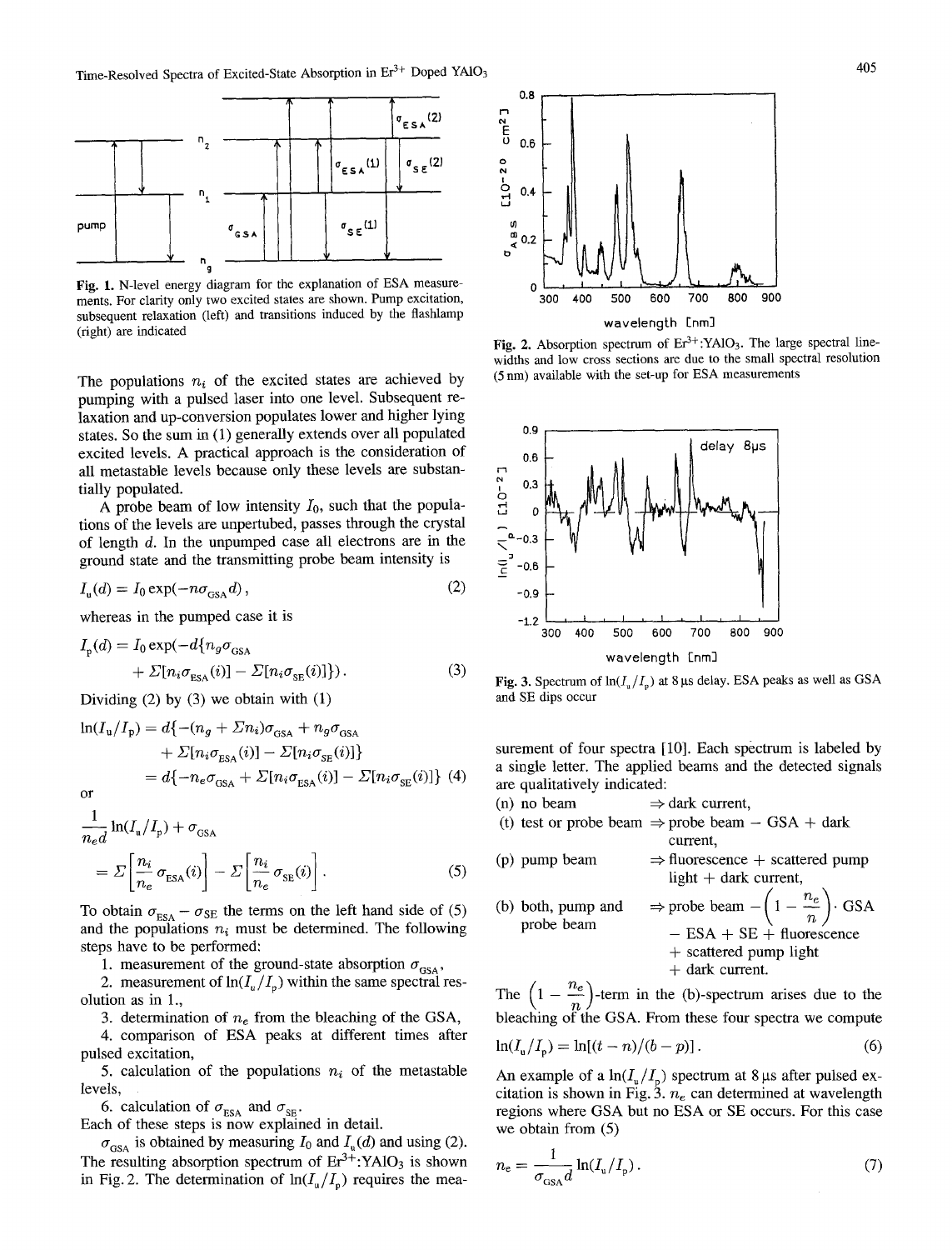

**Fig. 1.** N-level energy diagram for the explanation of ESA measurements. For clarity only two excited states are shown. Pump excitation, subsequent relaxation (left) and transitions induced by the flashlamp (right) are indicated

The populations  $n_i$  of the excited states are achieved by pumping with a pulsed laser into one level. Subsequent relaxation and up-conversion populates lower and higher lying states. So the sum in (1) generally extends over all populated excited levels. A practical approach is the consideration of all metastable levels because only these levels are substantially populated.

A probe beam of low intensity  $I_0$ , such that the populations of the levels are unpertubed, passes through the crystal of length d. In the unpumped case all electrons are in the ground state and the transmitting probe beam intensity is

$$
I_{\mathfrak{u}}(d) = I_0 \exp(-n\sigma_{\text{GSA}}d),\tag{2}
$$

whereas in the pumped case it is

$$
I_{p}(d) = I_{0} \exp(-d\{n_{g}\sigma_{\text{GSA}}+ \Sigma[n_{i}\sigma_{\text{ESA}}(i)] - \Sigma[n_{i}\sigma_{\text{SE}}(i)]\}).
$$
\n(3)

Dividing  $(2)$  by  $(3)$  we obtain with  $(1)$ 

$$
\ln(I_{\rm u}/I_{\rm p}) = d\{-(n_g + \Sigma n_i)\sigma_{\rm GSA} + n_g\sigma_{\rm GSA} + \Sigma[n_i\sigma_{\rm ESA}(i)] - \Sigma[n_i\sigma_{\rm SE}(i)]\}
$$
  
=  $d\{-n_e\sigma_{\rm GSA} + \Sigma[n_i\sigma_{\rm ESA}(i)] - \Sigma[n_i\sigma_{\rm SE}(i)]\}$  (4)

$$
\frac{1}{n_e d} \ln(I_{\rm u}/I_{\rm p}) + \sigma_{\rm GSA}
$$
\n
$$
= \Sigma \left[ \frac{n_i}{n_e} \sigma_{\rm ESA}(i) \right] - \Sigma \left[ \frac{n_i}{n_e} \sigma_{\rm SE}(i) \right].
$$
\n(5)

To obtain  $\sigma_{ESA} - \sigma_{SE}$  the terms on the left hand side of (5) and the populations  $n_i$  must be determined. The following steps have to be performed:

1. measurement of the ground-state absorption  $\sigma_{\text{GSA}}$ ,

2. measurement of  $ln(I_n/I_n)$  within the same spectral resolution as in 1.,

3. determination of  $n_e$  from the bleaching of the GSA,

4. comparison of ESA peaks at different times after pulsed excitation,

5. calculation of the populations  $n_i$  of the metastable levels,

6. calculation of  $\sigma_{ESA}$  and  $\sigma_{SE}$ .

Each of these steps is now explained in detail.

 $\sigma_{\text{GSA}}$  is obtained by measuring  $I_0$  and  $I_u(d)$  and using (2). The resulting absorption spectrum of  $Er^{3+}$ :YAlO<sub>3</sub> is shown in Fig. 2. The determination of  $ln(I_u/I_p)$  requires the mea-



Fig. 2. Absorption spectrum of Er<sup>3+</sup>:YAlO<sub>3</sub>. The large spectral linewidths and low cross sections are due to the small spectral resolution (5 nm) available with the set-up for ESA measurements



Fig. 3. Spectrum of  $ln(I_u/I_p)$  at 8 µs delay. ESA peaks as well as GSA and SE dips occur

surement of four spectra [10]. Each spectrum is labeled by a single letter. The applied beams and the detected signals are qualitatively indicated:

- (n) no beam  $\Rightarrow$  dark current,
- (t) test or probe beam  $\Rightarrow$  probe beam  $-$  GSA + dark current,

(p) pump beam  $\Rightarrow$  fluorescence + scattered pump light  $+$  dark current,

(b) both, pump and  $\Rightarrow$  probe beam  $- \left(1 - \frac{n_e}{n}\right)$ . GSA probe beam  $-$  ESA + SE + fluorescence + scattered pump light + dark current.

The  $\left(1 - \frac{e}{n}\right)$ -term in the (b)-spectrum arises due to the bleaching of the GSA. From these four spectra we compute

$$
\ln(I_{\rm u}/I_{\rm p}) = \ln[(t-n)/(b-p)].\tag{6}
$$

An example of a  $ln(I_u/I_p)$  spectrum at 8 µs after pulsed excitation is shown in Fig. 3.  $n_e$  can determined at wavelength regions where GSA but no ESA or SE occurs. For this case we obtain from (5)

$$
n_{\rm e} = \frac{1}{\sigma_{\rm GSA} d} \ln(I_{\rm u}/I_{\rm p}).\tag{7}
$$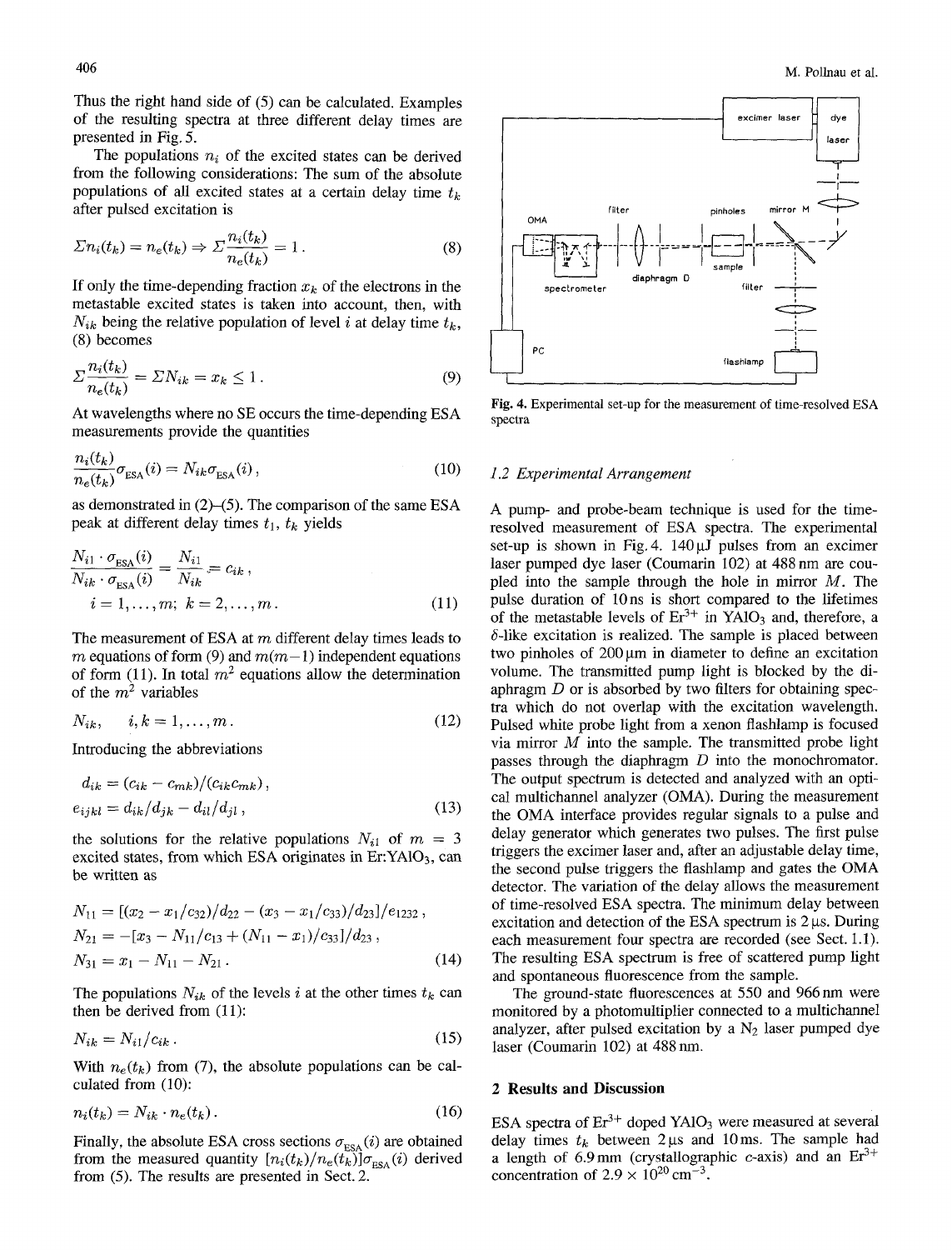Thus the right hand side of (5) can be calculated. Examples of the resulting spectra at three different delay times are presented in Fig. 5.

The populations  $n_i$  of the excited states can be derived from the following considerations: The sum of the absolute populations of all excited states at a certain delay time  $t_k$ after pulsed excitation is

$$
\Sigma n_i(t_k) = n_e(t_k) \Rightarrow \Sigma \frac{n_i(t_k)}{n_e(t_k)} = 1.
$$
\n(8)

If only the time-depending fraction  $x_k$  of the electrons in the metastable excited states is taken into account, then, with  $N_{ik}$  being the relative population of level i at delay time  $t_k$ , (8) becomes

$$
\Sigma \frac{n_i(t_k)}{n_e(t_k)} = \Sigma N_{ik} = x_k \le 1.
$$
\n(9)

At wavelengths where no SE occurs the time-depending ESA measurements provide the quantities

$$
\frac{n_i(t_k)}{n_e(t_k)}\sigma_{\text{ESA}}(i) = N_{ik}\sigma_{\text{ESA}}(i),\tag{10}
$$

as demonstrated in  $(2)$ – $(5)$ . The comparison of the same ESA peak at different delay times  $t_1$ ,  $t_k$  yields

$$
\frac{N_{i1} \cdot \sigma_{\text{ESA}}(i)}{N_{ik} \cdot \sigma_{\text{ESA}}(i)} = \frac{N_{i1}}{N_{ik}} = c_{ik},
$$
\n
$$
i = 1, \dots, m; \quad k = 2, \dots, m. \tag{11}
$$

The measurement of ESA at  $m$  different delay times leads to m equations of form (9) and  $m(m-1)$  independent equations of form (11). In total  $m^2$  equations allow the determination of the  $m^2$  variables

$$
N_{ik}, \qquad i,k = 1,\ldots,m\,. \tag{12}
$$

Introducing the abbreviations

$$
d_{ik} = (c_{ik} - c_{mk})/(c_{ik}c_{mk}),
$$
  
\n
$$
e_{ijkl} = d_{ik}/d_{jk} - d_{il}/d_{jl},
$$
\n(13)

the solutions for the relative populations  $N_{i1}$  of  $m = 3$ excited states, from which ESA originates in Er: $YAlO<sub>3</sub>$ , can be written as

$$
N_{11} = \frac{\left[\left(x_2 - x_1/c_{32}\right)/d_{22} - \left(x_3 - x_1/c_{33}\right)/d_{23}\right] / e_{1232}}{N_{21} = -\left[x_3 - N_{11}/c_{13} + \left(N_{11} - x_1\right)/c_{33}\right] / d_{23}},
$$
\n
$$
N_{31} = x_1 - N_{11} - N_{21}.
$$
\n(14)

The populations  $N_{ik}$  of the levels i at the other times  $t_k$  can then be derived from (11):

$$
N_{ik} = N_{i1}/c_{ik} \,. \tag{15}
$$

With  $n_e(t_k)$  from (7), the absolute populations can be calculated from (10):

$$
n_i(t_k) = N_{ik} \cdot n_e(t_k). \tag{16}
$$

Finally, the absolute ESA cross sections  $\sigma_{\text{ESA}}(i)$  are obtained from the measured quantity  $[n_i(t_k)/n_e(t_k)]\sigma_{ESA}(i)$  derived from (5). The results are presented in Sect. 2.



Fig. 4. Experimental set-up for the measurement of time-resolved ESA spectra

#### *1.2 Experimental Arrangement*

A pump- and probe-beam technique is used for the timeresolved measurement of ESA spectra. The experimental set-up is shown in Fig. 4.  $140 \mu$ J pulses from an excimer laser pumped dye laser (Coumarin 102) at 488 nm are coupled into the sample through the hole in mirror  $M$ . The pulse duration of 10ns is short compared to the lifetimes of the metastable levels of  $Er<sup>3+</sup>$  in  $YAlO<sub>3</sub>$  and, therefore, a  $\delta$ -like excitation is realized. The sample is placed between two pinholes of  $200 \mu m$  in diameter to define an excitation volume. The transmitted pump light is blocked by the diaphragm D or is absorbed by two filters for obtaining spectra which do not overlap with the excitation wavelength. Pulsed white probe light from a xenon flashlamp is focused via mirror  $\overline{M}$  into the sample. The transmitted probe light passes through the diaphragm  $D$  into the monochromator. The output spectrum is detected and analyzed with an optical multichannel analyzer (OMA). During the measurement the OMA interface provides regular signals to a pulse and delay generator which generates two pulses. The first pulse triggers the excimer laser and, after an adjustable delay time, the second pulse triggers the flashlamp and gates the OMA detector. The variation of the delay allows the measurement of time-resolved ESA spectra. The minimum delay between excitation and detection of the ESA spectrum is  $2 \mu s$ . During each measurement four spectra are recorded (see Sect. 1.1). The resulting ESA spectrum is free of scattered pump light and spontaneous fluorescence from the sample.

The ground-state fluorescences at 550 and 966 nm were monitored by a photomultiplier connected to a multichannel analyzer, after pulsed excitation by a  $N_2$  laser pumped dye laser (Coumarin 102) at 488 nm.

# **2 Results and Discussion**

ESA spectra of  $Er^{3+}$  doped YA1O<sub>3</sub> were measured at several delay times  $t_k$  between 2 us and 10ms. The sample had a length of 6.9 mm (crystallographic c-axis) and an  $Er^{3+}$ concentration of  $2.9 \times 10^{20}$  cm<sup>-3</sup>.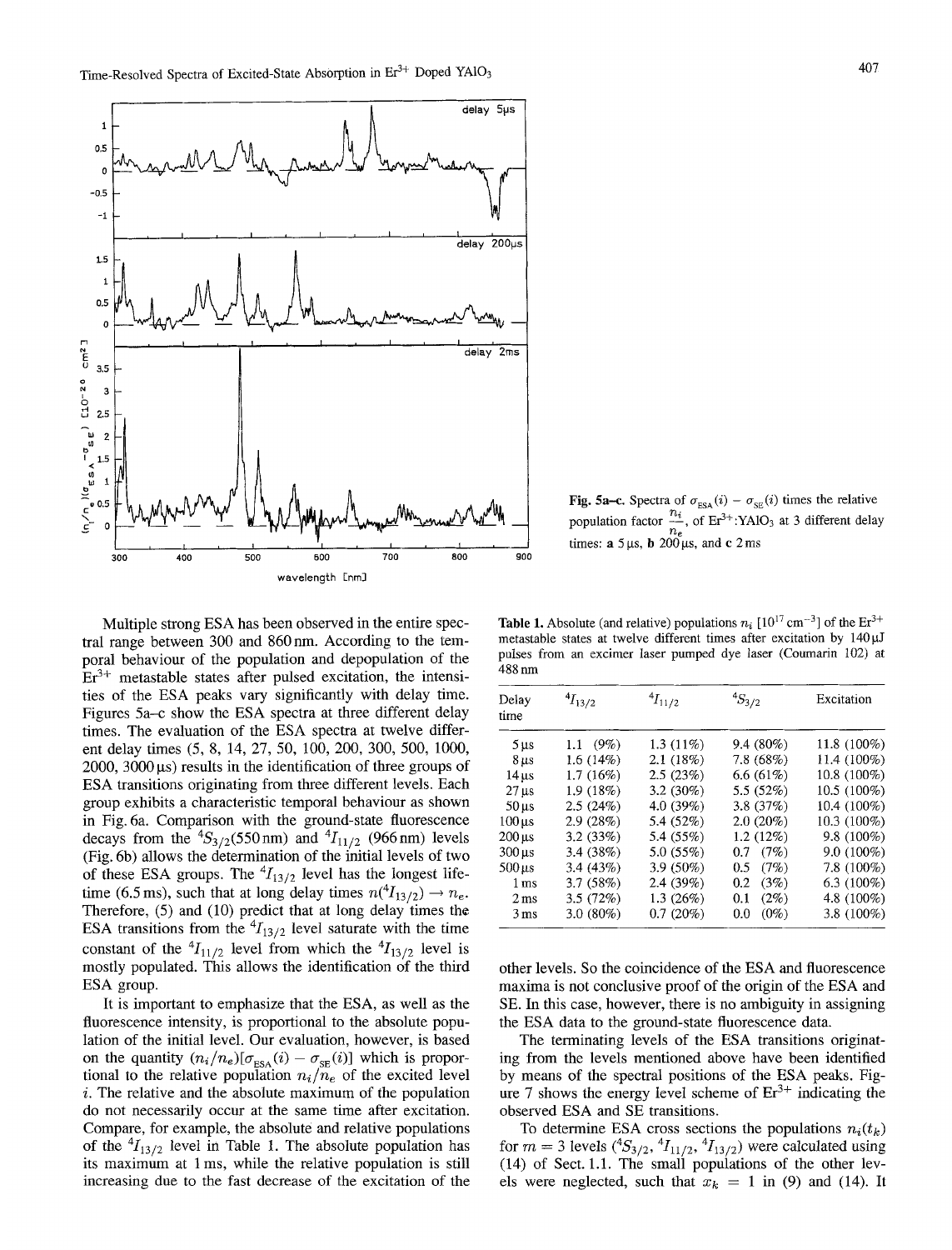

Fig. 5a–c. Spectra of  $\sigma_{ESA}(i) - \sigma_{SE}(i)$  times the relative population factor  $\frac{n_i}{n_e}$ , of Er<sup>3+</sup>:YAlO<sub>3</sub> at 3 different delay times:  $\mathbf{a}$  5  $\mu$ s,  $\mathbf{b}$  200  $\mu$ s, and c 2 ms

Multiple strong ESA has been observed in the entire spectral range between 300 and 860 nm. According to the temporal behaviour of the population and depopulation of the  $Er<sup>3+</sup>$  metastable states after pulsed excitation, the intensities of the ESA peaks vary significantly with delay time. Figures 5a–c show the ESA spectra at three different delay times. The evaluation of the ESA spectra at twelve different delay times (5, 8, 14, 27, 50, 100, 200, 300, 500, 1000,  $2000$ ,  $3000 \,\mu s$  results in the identification of three groups of ESA transitions originating from three different levels. Each group exhibits a characteristic temporal behaviour as shown in Fig. 6a. Comparison with the ground-state fluorescence decays from the  ${}^{4}S_{3/2}$ (550 nm) and  ${}^{4}I_{11/2}$  (966 nm) levels (Fig. 6b) allows the determination of the initial levels of two of these ESA groups. The  ${}^{4}I_{13/2}$  level has the longest lifetime (6.5 ms), such that at long delay times  $n(^{4}I_{13/2}) \rightarrow n_{e}$ . Therefore, (5) and (10) predict that at long delay times the ESA transitions from the  ${}^4I_{13/2}$  level saturate with the time constant of the  ${}^4I_{11/2}$  level from which the  ${}^4I_{13/2}$  level is mostly populated. This allows the identification of the third ESA group.

It is important to emphasize that the ESA, as well as the fluorescence intensity, is proportional to the absolute population of the initial level. Our evaluation, however, is based on the quantity  $(n_i/n_e)[\sigma_{\text{ESA}}(i) - \sigma_{\text{SE}}(i)]$  which is proportional to the relative population  $n_i/n_e$  of the excited level i. The relative and the absolute maximum of the population do not necessarily occur at the same time after excitation. Compare, for example, the absolute and relative populations of the  $^{4}I_{13/2}$  level in Table 1. The absolute population has its maximum at 1 ms, while the relative population is still increasing due to the fast decrease of the excitation of the

**Table 1.** Absolute (and relative) populations  $n_i$  [10<sup>17</sup> cm<sup>-3</sup>] of the Er<sup>3+</sup> metastable states at twelve different times after excitation by  $140 \mu J$ pulses from an excimer laser pumped dye laser (Coumarin 102) at 488 nm

| Delay<br>time       | $^{4}I_{13/2}$ | $^{4}I_{11/2}$ | $^{4}S_{3/2}$  | Excitation     |
|---------------------|----------------|----------------|----------------|----------------|
| $5 \mu s$           | 1.1 $(9\%)$    | $1.3(11\%)$    | $9.4(80\%)$    | 11.8 $(100\%)$ |
| $8 \,\mu s$         | 1.6(14%)       | 2.1(18%)       | 7.8(68%)       | 11.4 (100%)    |
| $14 \,\mathrm{u}$ s | $1.7(16\%)$    | 2.5(23%)       | 6.6 $(61\%)$   | 10.8 (100%)    |
| $27 \,\mathrm{us}$  | 1.9(18%)       | $3.2(30\%)$    | 5.5 $(52%)$    | 10.5 (100%)    |
| $50 \,\mu s$        | 2.5(24%)       | 4.0 (39%)      | 3.8 $(37%)$    | 10.4 (100%)    |
| $100 \,\mathrm{ms}$ | 2.9(28%)       | 5.4 (52%)      | $2.0(20\%)$    | 10.3 (100%)    |
| $200 \,\mu s$       | 3.2(33%)       | 5.4 (55%)      | $1.2(12\%)$    | 9.8 (100%)     |
| $300 \,\mu s$       | 3.4(38%)       | 5.0(55%)       | $0.7$ $(7%)$   | $9.0(100\%)$   |
| $500 \,\mathrm{us}$ | 3.4(43%)       | 3.9 (50%)      | (7%)<br>0.5    | $7.8(100\%)$   |
| 1 <sub>ms</sub>     | 3.7(58%)       | 2.4(39%)       | (3%)<br>0.2    | 6.3 $(100\%)$  |
| 2 <sub>ms</sub>     | 3.5(72%)       | 1.3(26%)       | $(2\%)$<br>0.1 | 4.8 (100%)     |
| 3 <sub>ms</sub>     | $3.0(80\%)$    | 0.7(20%)       | $(0\%)$<br>0.0 | 3.8 (100%)     |

other levels. So the coincidence of the ESA mad fluorescence maxima is not conclusive proof of the origin of the ESA and SE. In this case, however, there is no ambiguity in assigning the ESA data to the ground-state fluorescence data.

The terminating levels of the ESA transitions originating from the levels mentioned above have been identified by means of the spectral positions of the ESA peaks. Figure 7 shows the energy level scheme of  $Er^{3+}$  indicating the observed ESA and SE transitions.

To determine ESA cross sections the populations  $n_i(t_k)$ for  $m = 3$  levels  $({}^4S_{3/2}, {}^4I_{11/2}, {}^4I_{13/2})$  were calculated using (14) of Sect. 1.1. The small populations of the other levels were neglected, such that  $x_k = 1$  in (9) and (14). It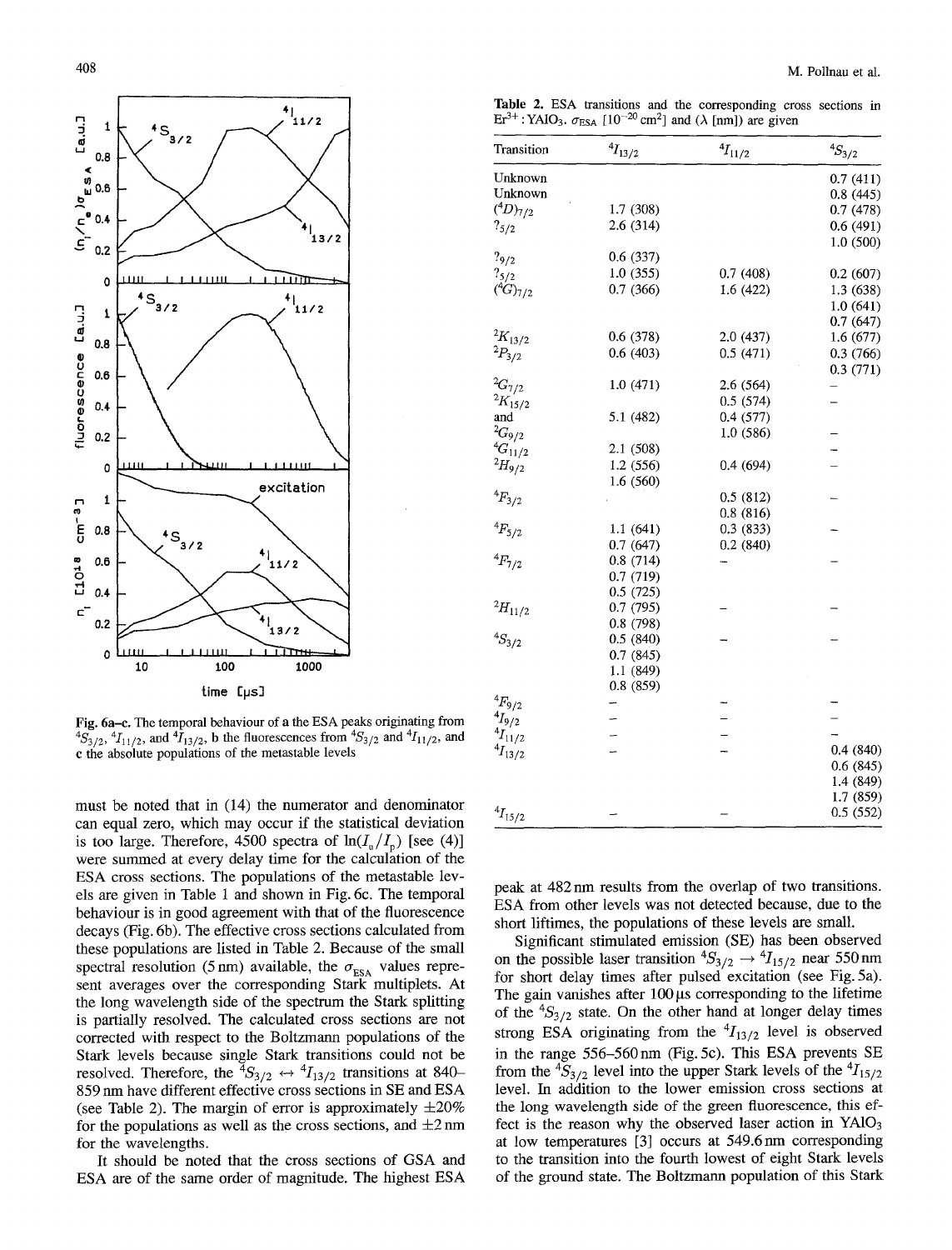

Fig. 6a-e. The temporal behaviour of a the ESA peaks originating from  ${}^{4}S_{3/2}$ ,  ${}^{4}I_{11/2}$ , and  ${}^{4}I_{13/2}$ , b the fluorescences from  ${}^{4}S_{3/2}$  and  ${}^{4}I_{11/2}$ , and c the absolute populations of the metastable levels

must be noted that in (14) the numerator and denominator can equal zero, which may occur if the statistical deviation is too large. Therefore, 4500 spectra of  $ln(I_n/I_n)$  [see (4)] were summed at every delay time for the calculation of the ESA cross sections. The populations of the metastable levels are given in Table 1 and shown in Fig. 6c. The temporal behaviour is in good agreement with that of the fluorescence decays (Fig. 6b). The effective cross sections calculated from these populations are listed in Table 2. Because of the small spectral resolution (5 nm) available, the  $\sigma_{\text{ESA}}$  values represent averages over the corresponding Stark multiplets. At the long wavelength side of the spectrum the Stark splitting is partially resolved. The calculated cross sections are not corrected with respect to the Boltzmann populations of the Stark levels because single Stark transitions could not be resolved. Therefore, the  ${}^4S_{3/2} \leftrightarrow {}^4I_{13/2}$  transitions at 840-859 nm have different effective cross sections in SE and ESA (see Table 2). The margin of error is approximately  $\pm 20\%$ for the populations as well as the cross sections, and  $\pm 2$  nm for the wavelengths.

It should be noted that the cross sections of GSA and ESA are of the same order of magnitude. The highest ESA

Table 2. ESA transitions and the corresponding cross sections in  $\text{Er}^{3+}$ : YAIO<sub>3</sub>.  $\sigma_{\text{ESA}}$  [10<sup>-20</sup> cm<sup>2</sup>] and ( $\lambda$  [nm]) are given

| Transition       | $^4\!I_{13/2}$ | ${}^4I_{11/2}$ | ${}^{4}S_{3/2}$ |
|------------------|----------------|----------------|-----------------|
| Unknown          |                |                | 0.7(411)        |
| Unknown          |                |                | 0.8(445)        |
| $(^{4}D)_{7/2}$  | 1.7(308)       |                | 0.7(478)        |
| $?_{5/2}$        | 2.6(314)       |                | 0.6(491)        |
|                  |                |                | 1.0(500)        |
| $?_{9/2}$        | 0.6(337)       |                |                 |
| $?_{5/2}$        | 1.0(355)       | 0.7(408)       | 0.2(607)        |
| $(^{4}G)_{7/2}$  | 0.7(366)       | 1.6 (422)      | 1.3 (638)       |
|                  |                |                | 1.0(641)        |
|                  |                |                | 0.7(647)        |
| $^2\!K_{13/2}$   | 0.6(378)       | 2.0 (437)      | 1.6(677)        |
| $^{2}P_{3/2}$    | 0.6(403)       | 0.5(471)       | 0.3(766)        |
|                  |                |                | 0.3(771)        |
| ${}^{2}G_{7/2}$  | 1.0(471)       | 2.6 (564)      |                 |
| ${}^{2}K_{15/2}$ |                | 0.5(574)       |                 |
| and              | 5.1 (482)      | 0.4(577)       |                 |
| ${}^{2}G_{9/2}$  |                | 1.0(586)       |                 |
| ${}^4G_{11/2}$   | 2.1(508)       |                |                 |
| $^{2}H_{9/2}$    | 1.2 (556)      | 0.4(694)       |                 |
|                  | 1.6(560)       |                |                 |
| ${}^{4}F_{3/2}$  |                | 0.5(812)       |                 |
|                  |                | 0.8(816)       |                 |
| ${}^{4}F_{5/2}$  | 1.1(641)       | 0.3(833)       |                 |
|                  | 0.7(647)       | 0.2(840)       |                 |
| ${}^{4}F_{7/2}$  | 0.8(714)       |                |                 |
|                  | 0.7(719)       |                |                 |
|                  | 0.5(725)       |                |                 |
| $^{2}H_{11/2}$   | 0.7(795)       |                |                 |
|                  | 0.8(798)       |                |                 |
| ${}^{4}S_{3/2}$  | 0.5(840)       |                |                 |
|                  | 0.7(845)       |                |                 |
|                  | 1.1 (849)      |                |                 |
|                  | 0.8(859)       |                |                 |
| $^4\!F_{9/2}$    |                |                |                 |
| $^4\!I_{9/2}$    |                |                |                 |
| $^{4}I_{11/2}$   |                |                |                 |
| $^{4}I_{13/2}$   |                |                | 0.4(840)        |
|                  |                |                | 0.6(845)        |
|                  |                |                | 1.4 (849)       |
|                  |                |                | 1.7 (859)       |
| $^{4}I_{15/2}$   |                |                | 0.5(552)        |

peak at 482 nm results from the overlap of two transitions. ESA from other levels was not detected because, due to the short liftimes, the populations of these levels are small.

Significant stimulated emission (SE) has been observed on the possible laser transition  ${}^4S_{3/2} \rightarrow {}^4I_{15/2}$  near 550 nm for short delay times after pulsed excitation (see Fig. 5a). The gain vanishes after  $100 \mu s$  corresponding to the lifetime of the  ${}^{4}S_{3/2}$  state. On the other hand at longer delay times strong ESA originating from the  ${}^4I_{13/2}$  level is observed in the range 556-560nm (Fig. 5c). This ESA prevents SE from the  ${}^4S_{3/2}$  level into the upper Stark levels of the  ${}^4I_{15/2}$ level. In addition to the lower emission cross sections at the long wavelength side of the green fluorescence, this effect is the reason why the observed laser action in  $YAlO<sub>3</sub>$ at low temperatures [3] occurs at 549.6nm corresponding to the transition into the fourth lowest of eight Stark levels of the ground state. The Boltzmann population of this Stark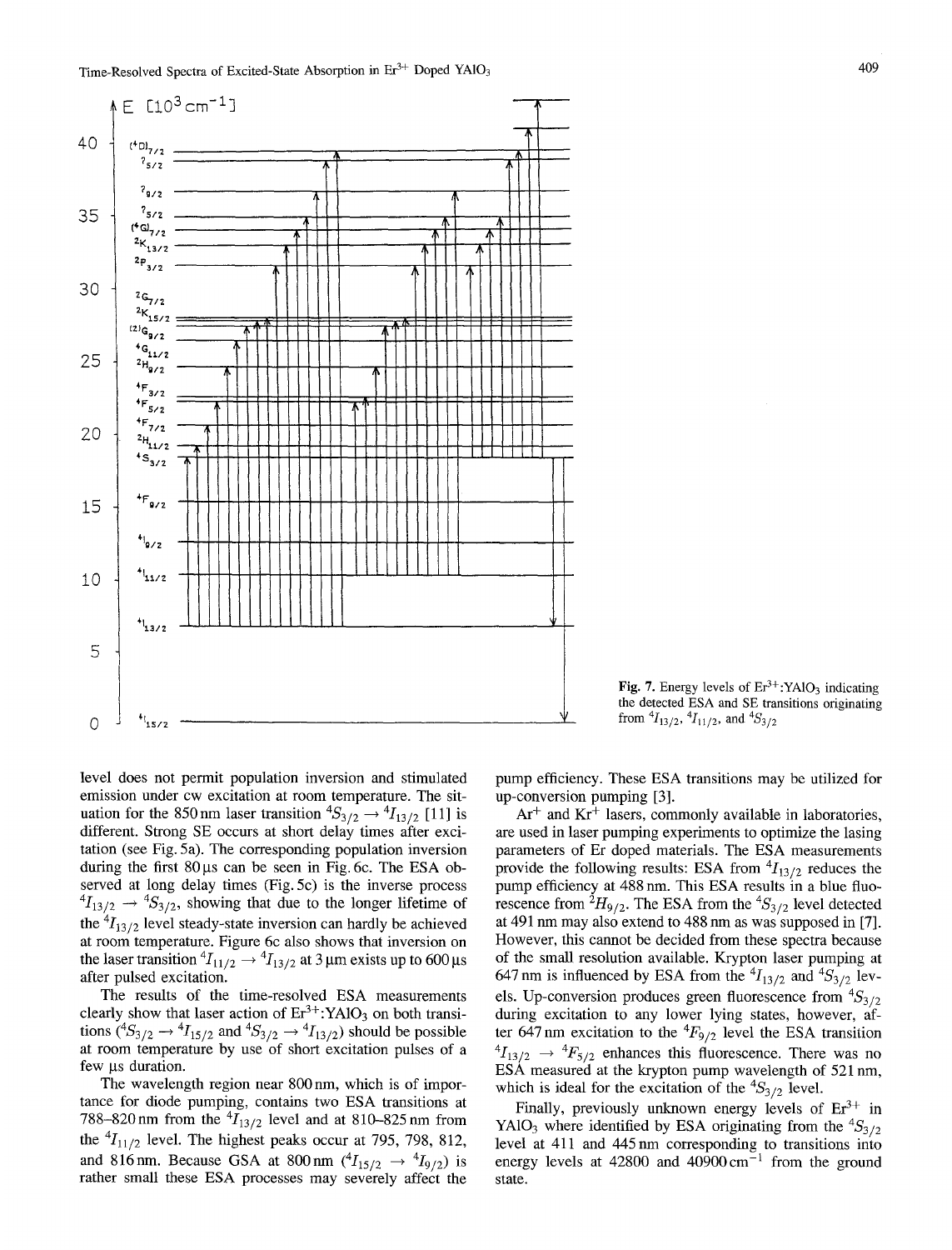

Fig. 7. Energy levels of  $Er^{3+}$ : YAlO<sub>3</sub> indicating the detected ESA and SE transitions originating from  $^{4}I_{13/2}$ ,  $^{4}I_{11/2}$ , and  $^{4}S_{3/2}$ 

level does not permit population inversion and stimulated emission under cw excitation at room temperature. The situation for the 850 nm laser transition  ${}^4S_{3/2} \rightarrow {}^4I_{13/2}$  [11] is different. Strong SE occurs at short delay times after excitation (see Fig. 5a). The corresponding population inversion during the first  $80 \mu s$  can be seen in Fig. 6c. The ESA observed at long delay times (Fig. 5c) is the inverse process  ${}^{4}I_{13/2} \rightarrow {}^{4}S_{3/2}$ , showing that due to the longer lifetime of the  ${}^{4}I_{13/2}$  level steady-state inversion can hardly be achieved at room temperature. Figure 6c also shows that inversion on the laser transition  ${}^4I_{11/2} \rightarrow {}^4I_{13/2}$  at 3 µm exists up to 600 µs after pulsed excitation.

The results of the time-resolved ESA measurements clearly show that laser action of  $Er^{3+}$ :YA1O<sub>3</sub> on both transitions  $({}^4S_{3/2} \rightarrow {}^4I_{15/2}$  and  ${}^4S_{3/2} \rightarrow {}^4I_{13/2}$ ) should be possible at room temperature by use of short excitation pulses of a few us duration.

The wavelength region near 800 nm, which is of importance for diode pumping, contains two ESA transitions at 788-820 nm from the  $^{4}I_{13/2}$  level and at 810-825 nm from the  ${}^{4}I_{11/2}$  level. The highest peaks occur at 795, 798, 812, and 816nm. Because GSA at 800nm  $({}^{4}I_{15/2} \rightarrow {}^{4}I_{9/2})$  is rather small these ESA processes may severely affect the

pump efficiency. These ESA transitions may be utilized for up-conversion pumping [3].

 $Ar<sup>+</sup>$  and  $Kr<sup>+</sup>$  lasers, commonly available in laboratories, are used in laser pumping experiments to optimize the lasing parameters of Er doped materials. The ESA measurements provide the following results: ESA from  $\frac{4I_{13/2}}{2}$  reduces the pump efficiency at 488 nm. This ESA results in a blue fluorescence from  ${}^{2}H_{9/2}$ . The ESA from the  ${}^{4}S_{3/2}$  level detected at 491 nm may also extend to 488 nm as was supposed in [7]. However, this cannot be decided from these spectra because of the small resolution available. Krypton laser pumping at 647 nm is influenced by ESA from the  ${}^4I_{13/2}$  and  ${}^4S_{3/2}$  levels. Up-conversion produces green fluorescence from  ${}^{4}S_{3/2}$ during excitation to any lower lying states, however, after  $647 \text{ nm}$  excitation to the  $\frac{4F_{9/2}}{2}$  level the ESA transition  ${}^{4}I_{13/2} \rightarrow {}^{4}F_{5/2}$  enhances this fluorescence. There was no ESA measured at the krypton pump wavelength of 521 nm, which is ideal for the excitation of the  ${}^4S_{3/2}$  level.

Finally, previously unknown energy levels of  $Er^{3+}$  in YAlO<sub>3</sub> where identified by ESA originating from the  ${}^{4}S_{3/2}$ level at 411 and 445 nm corresponding to transitions into energy levels at 42800 and  $40900 \text{ cm}^{-1}$  from the ground state.